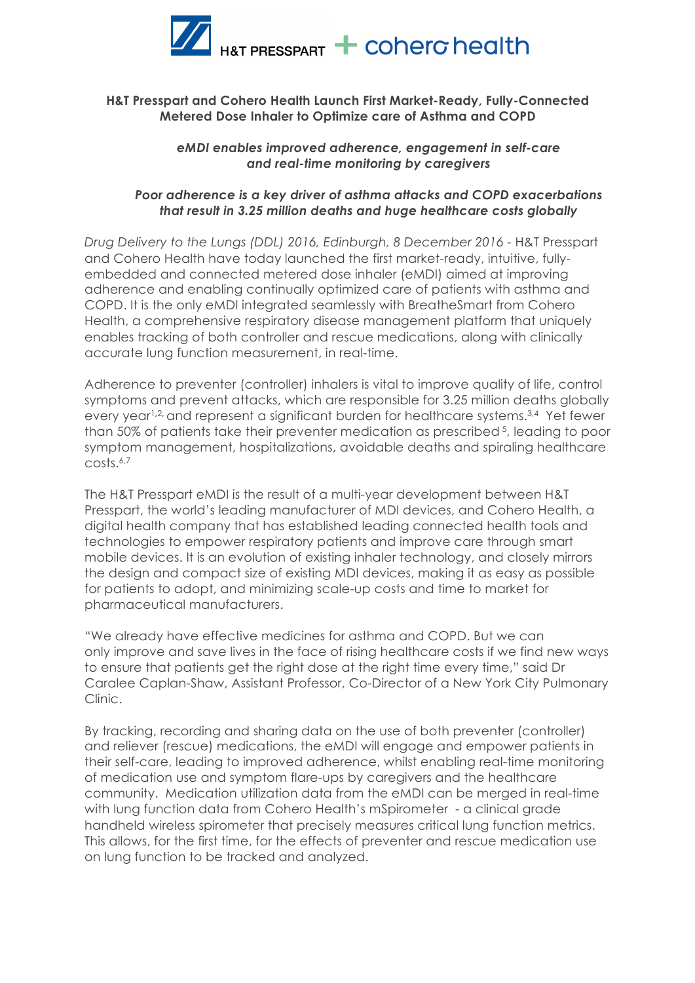

# **H&T Presspart and Cohero Health Launch First Market-Ready, Fully-Connected Metered Dose Inhaler to Optimize care of Asthma and COPD**

#### *eMDI enables improved adherence, engagement in self-care and real-time monitoring by caregivers*

### *Poor adherence is a key driver of asthma attacks and COPD exacerbations that result in 3.25 million deaths and huge healthcare costs globally*

*Drug Delivery to the Lungs (DDL) 2016, Edinburgh, 8 December 2016 -* H&T Presspart and Cohero Health have today launched the first market-ready, intuitive, fullyembedded and connected metered dose inhaler (eMDI) aimed at improving adherence and enabling continually optimized care of patients with asthma and COPD. It is the only eMDI integrated seamlessly with BreatheSmart from Cohero Health, a comprehensive respiratory disease management platform that uniquely enables tracking of both controller and rescue medications, along with clinically accurate lung function measurement, in real-time.

Adherence to preventer (controller) inhalers is vital to improve quality of life, control symptoms and prevent attacks, which are responsible for 3.25 million deaths globally every year1**,**2**,** and represent a significant burden for healthcare systems.3,4 Yet fewer than 50% of patients take their preventer medication as prescribed 5, leading to poor symptom management, hospitalizations, avoidable deaths and spiraling healthcare costs.6,7

The H&T Presspart eMDI is the result of a multi-year development between H&T Presspart, the world's leading manufacturer of MDI devices, and Cohero Health, a digital health company that has established leading connected health tools and technologies to empower respiratory patients and improve care through smart mobile devices. It is an evolution of existing inhaler technology, and closely mirrors the design and compact size of existing MDI devices, making it as easy as possible for patients to adopt, and minimizing scale-up costs and time to market for pharmaceutical manufacturers.

"We already have effective medicines for asthma and COPD. But we can only improve and save lives in the face of rising healthcare costs if we find new ways to ensure that patients get the right dose at the right time every time," said Dr Caralee Caplan-Shaw, Assistant Professor, Co-Director of a New York City Pulmonary Clinic.

By tracking, recording and sharing data on the use of both preventer (controller) and reliever (rescue) medications, the eMDI will engage and empower patients in their self-care, leading to improved adherence, whilst enabling real-time monitoring of medication use and symptom flare-ups by caregivers and the healthcare community. Medication utilization data from the eMDI can be merged in real-time with lung function data from Cohero Health's mSpirometer - a clinical grade handheld wireless spirometer that precisely measures critical lung function metrics. This allows, for the first time, for the effects of preventer and rescue medication use on lung function to be tracked and analyzed.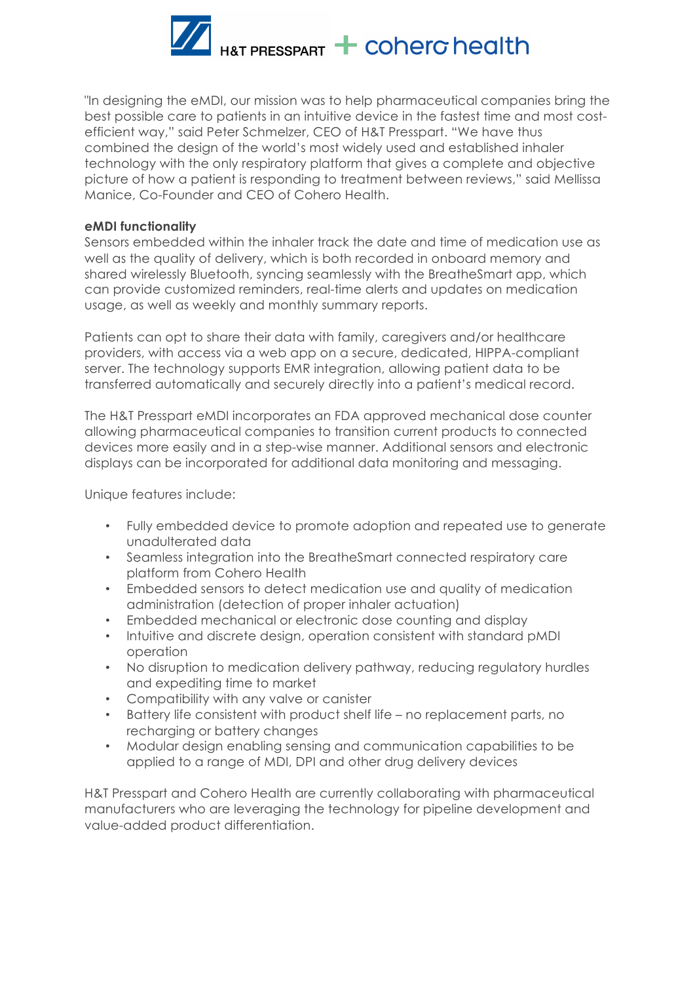

"In designing the eMDI, our mission was to help pharmaceutical companies bring the best possible care to patients in an intuitive device in the fastest time and most costefficient way," said Peter Schmelzer, CEO of H&T Presspart. "We have thus combined the design of the world's most widely used and established inhaler technology with the only respiratory platform that gives a complete and objective picture of how a patient is responding to treatment between reviews," said Mellissa Manice, Co-Founder and CEO of Cohero Health.

### **eMDI functionality**

Sensors embedded within the inhaler track the date and time of medication use as well as the quality of delivery, which is both recorded in onboard memory and shared wirelessly Bluetooth, syncing seamlessly with the BreatheSmart app, which can provide customized reminders, real-time alerts and updates on medication usage, as well as weekly and monthly summary reports.

Patients can opt to share their data with family, caregivers and/or healthcare providers, with access via a web app on a secure, dedicated, HIPPA-compliant server. The technology supports EMR integration, allowing patient data to be transferred automatically and securely directly into a patient's medical record.

The H&T Presspart eMDI incorporates an FDA approved mechanical dose counter allowing pharmaceutical companies to transition current products to connected devices more easily and in a step-wise manner. Additional sensors and electronic displays can be incorporated for additional data monitoring and messaging.

Unique features include:

- Fully embedded device to promote adoption and repeated use to generate unadulterated data
- Seamless integration into the BreatheSmart connected respiratory care platform from Cohero Health
- Embedded sensors to detect medication use and quality of medication administration (detection of proper inhaler actuation)
- Embedded mechanical or electronic dose counting and display
- Intuitive and discrete design, operation consistent with standard pMDI operation
- No disruption to medication delivery pathway, reducing regulatory hurdles and expediting time to market
- Compatibility with any valve or canister
- Battery life consistent with product shelf life no replacement parts, no recharging or battery changes
- Modular design enabling sensing and communication capabilities to be applied to a range of MDI, DPI and other drug delivery devices

H&T Presspart and Cohero Health are currently collaborating with pharmaceutical manufacturers who are leveraging the technology for pipeline development and value-added product differentiation.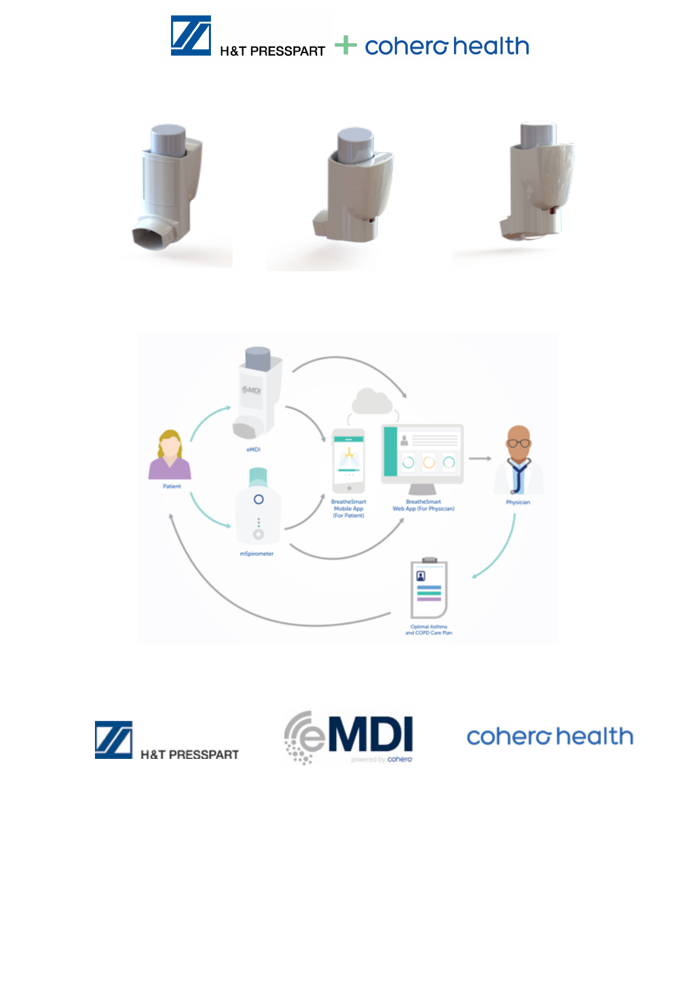